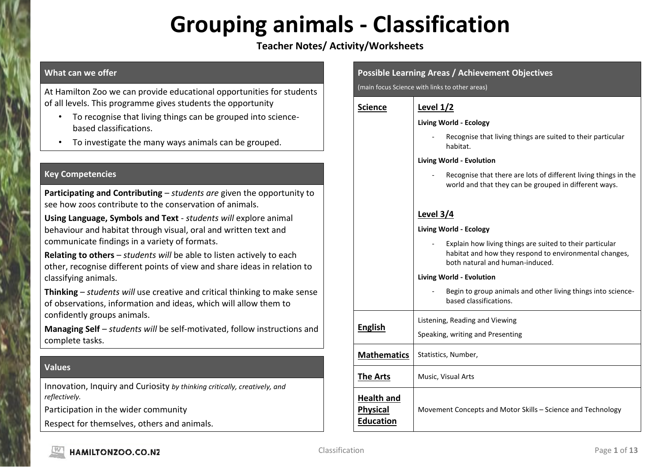## **Grouping animals - Classification**

## **Teacher Notes/ Activity/Worksheets**

### **What can we offer**

At Hamilton Zoo we can provide educational opportunities for students of all levels. This programme gives students the opportunity

- To recognise that living things can be grouped into sciencebased classifications.
- To investigate the many ways animals can be grouped.

### **Key Competencies**

**Participating and Contributing** – *students are* given the opportunity to see how zoos contribute to the conservation of animals.

**Using Language, Symbols and Text** - *students will* explore animal behaviour and habitat through visual, oral and written text and communicate findings in a variety of formats.

**Relating to others** – *students will* be able to listen actively to each other, recognise different points of view and share ideas in relation to classifying animals.

**Thinking** – *students will* use creative and critical thinking to make sense of observations, information and ideas, which will allow them to confidently groups animals.

**Managing Self** – *students will* be self-motivated, follow instructions and complete tasks.

### **Values**

Innovation, Inquiry and Curiosity *by thinking critically, creatively, and reflectively.*

Participation in the wider community

Respect for themselves, others and animals.

| <b>Possible Learning Areas / Achievement Objectives</b><br>(main focus Science with links to other areas) |                                                                                                                                                       |  |  |  |  |
|-----------------------------------------------------------------------------------------------------------|-------------------------------------------------------------------------------------------------------------------------------------------------------|--|--|--|--|
| <b>Science</b>                                                                                            | Level $1/2$                                                                                                                                           |  |  |  |  |
|                                                                                                           | <b>Living World - Ecology</b>                                                                                                                         |  |  |  |  |
|                                                                                                           | Recognise that living things are suited to their particular<br>habitat.                                                                               |  |  |  |  |
|                                                                                                           | Living World - Evolution                                                                                                                              |  |  |  |  |
|                                                                                                           | Recognise that there are lots of different living things in the<br>world and that they can be grouped in different ways.                              |  |  |  |  |
|                                                                                                           | Level 3/4                                                                                                                                             |  |  |  |  |
|                                                                                                           | <b>Living World - Ecology</b>                                                                                                                         |  |  |  |  |
|                                                                                                           | Explain how living things are suited to their particular<br>habitat and how they respond to environmental changes,<br>both natural and human-induced. |  |  |  |  |
|                                                                                                           | Living World - Evolution                                                                                                                              |  |  |  |  |
|                                                                                                           | Begin to group animals and other living things into science-<br>based classifications.                                                                |  |  |  |  |
|                                                                                                           | Listening, Reading and Viewing                                                                                                                        |  |  |  |  |
| <b>English</b>                                                                                            | Speaking, writing and Presenting                                                                                                                      |  |  |  |  |
| <b>Mathematics</b>                                                                                        | Statistics, Number,                                                                                                                                   |  |  |  |  |
| <b>The Arts</b>                                                                                           | Music, Visual Arts                                                                                                                                    |  |  |  |  |
| <b>Health and</b><br><b>Physical</b><br><b>Education</b>                                                  | Movement Concepts and Motor Skills - Science and Technology                                                                                           |  |  |  |  |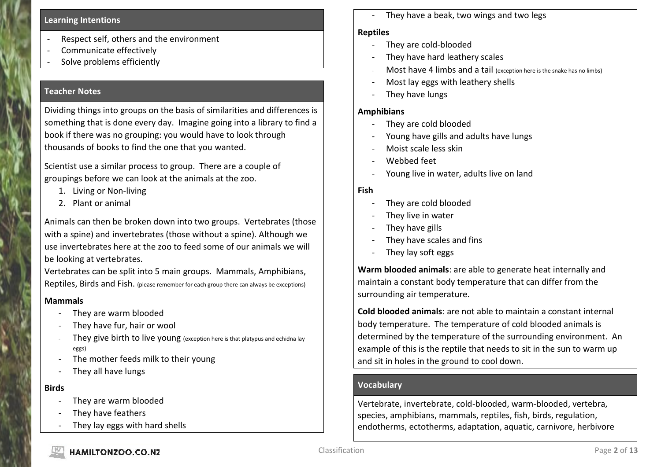#### **Learning Intentions**

- Respect self, others and the environment
- Communicate effectively
- Solve problems efficiently

#### **Teacher Notes**

Dividing things into groups on the basis of similarities and differences is something that is done every day. Imagine going into a library to find a book if there was no grouping: you would have to look through thousands of books to find the one that you wanted.

Scientist use a similar process to group. There are a couple of groupings before we can look at the animals at the zoo.

- 1. Living or Non-living
- 2. Plant or animal

Animals can then be broken down into two groups. Vertebrates (those with a spine) and invertebrates (those without a spine). Although we use invertebrates here at the zoo to feed some of our animals we will be looking at vertebrates.

Vertebrates can be split into 5 main groups. Mammals, Amphibians, Reptiles, Birds and Fish. (please remember for each group there can always be exceptions)

#### **Mammals**

- They are warm blooded
- They have fur, hair or wool
- They give birth to live young (exception here is that platypus and echidna lay eggs)
- The mother feeds milk to their young
- They all have lungs

#### **Birds**

- They are warm blooded
- They have feathers
- They lay eggs with hard shells

They have a beak, two wings and two legs

### **Reptiles**

- They are cold-blooded
- They have hard leathery scales
- Most have 4 limbs and a tail (exception here is the snake has no limbs)
- Most lay eggs with leathery shells
- They have lungs

### **Amphibians**

- They are cold blooded
- Young have gills and adults have lungs
- Moist scale less skin
- Webbed feet
- Young live in water, adults live on land

### **Fish**

- They are cold blooded
- They live in water
- They have gills
- They have scales and fins
- They lay soft eggs

**Warm blooded animals**: are able to generate heat internally and maintain a constant body temperature that can differ from the surrounding air temperature.

**Cold blooded animals**: are not able to maintain a constant internal body temperature. The temperature of cold blooded animals is determined by the temperature of the surrounding environment. An example of this is the reptile that needs to sit in the sun to warm up and sit in holes in the ground to cool down.

### **Vocabulary**

Vertebrate, invertebrate, cold-blooded, warm-blooded, vertebra, species, amphibians, mammals, reptiles, fish, birds, regulation, endotherms, ectotherms, adaptation, aquatic, carnivore, herbivore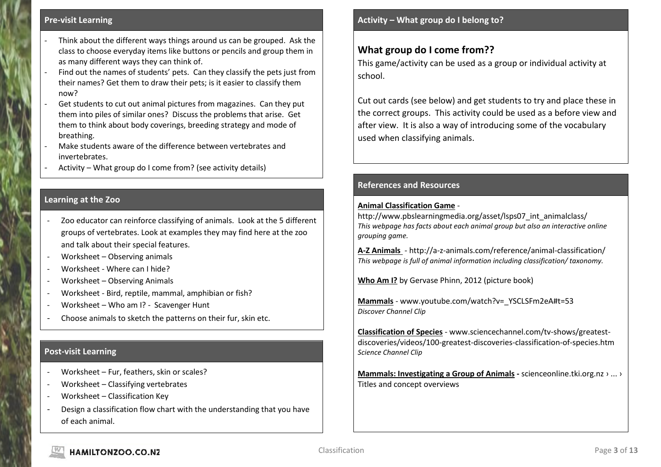#### **Pre-visit Learning**

- Think about the different ways things around us can be grouped. Ask the class to choose everyday items like buttons or pencils and group them in as many different ways they can think of.
- Find out the names of students' pets. Can they classify the pets just from their names? Get them to draw their pets; is it easier to classify them now?
- Get students to cut out animal pictures from magazines. Can they put them into piles of similar ones? Discuss the problems that arise. Get them to think about body coverings, breeding strategy and mode of breathing.
- Make students aware of the difference between vertebrates and invertebrates.
- Activity What group do I come from? (see activity details)

### **Learning at the Zoo**

- Zoo educator can reinforce classifying of animals. Look at the 5 different groups of vertebrates. Look at examples they may find here at the zoo and talk about their special features.
- Worksheet Observing animals
- Worksheet Where can I hide?
- Worksheet Observing Animals
- Worksheet Bird, reptile, mammal, amphibian or fish?
- Worksheet Who am I? Scavenger Hunt
- Choose animals to sketch the patterns on their fur, skin etc.

### **Post-visit Learning**

- Worksheet Fur, feathers, skin or scales?
- Worksheet Classifying vertebrates
- Worksheet Classification Key
- Design a classification flow chart with the understanding that you have of each animal.

## **What group do I come from??**

This game/activity can be used as a group or individual activity at school.

Cut out cards (see below) and get students to try and place these in the correct groups. This activity could be used as a before view and after view. It is also a way of introducing some of the vocabulary used when classifying animals.

### **References and Resources**

#### **Animal Classification Game** -

http://www.pbslearningmedia.org/asset/lsps07 int\_animalclass/ *This webpage has facts about each animal group but also an interactive online grouping game.*

**A-Z Animals** - http://a-z-animals.com/reference/animal-classification/ *This webpage is full of animal information including classification/ taxonomy.*

**Who Am I?** by Gervase Phinn, 2012 (picture book)

**Mammals** - www.youtube.com/watch?v= YSCLSFm2eA#t=53 *Discover Channel Clip*

**Classification of Species** - [www.sciencechannel.com/tv-shows/greatest](http://www.sciencechannel.com/tv-shows/greatest-discoveries/videos/100-greatest-discoveries-classification-of-species.htm)[discoveries/videos/100-greatest-discoveries-classification-of-species.htm](http://www.sciencechannel.com/tv-shows/greatest-discoveries/videos/100-greatest-discoveries-classification-of-species.htm) *Science Channel Clip*

**1. [Mammals: Investigating a Group of Animals](http://scienceonline.tki.org.nz/What-do-my-students-need-to-learn/Building-Science-Concepts/Titles-and-concept-overviews/Mammals-Investigating-a-Group-of-Animals) -** [scienceonline.tki.org.nz › ... ›](mammals:%20Investigating%20a%20Group%20of%20Animals%20/%20Titles%20and%20...)  [Titles and concept overviews](mammals:%20Investigating%20a%20Group%20of%20Animals%20/%20Titles%20and%20...)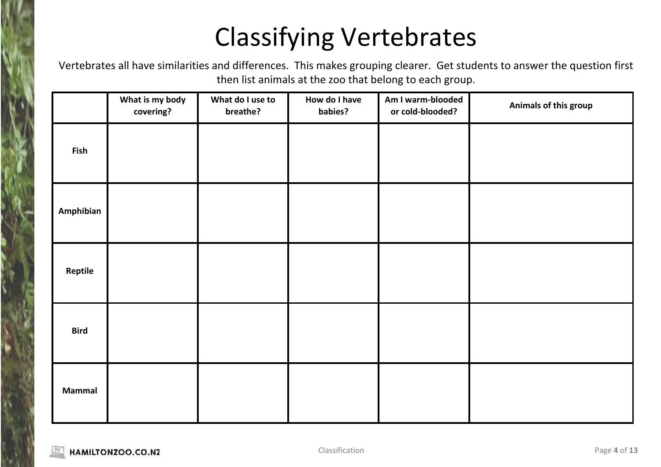## Classifying Vertebrates

Vertebrates all have similarities and differences. This makes grouping clearer. Get students to answer the question first then list animals at the zoo that belong to each group.

|               | What is my body<br>covering? | What do I use to<br>breathe? | How do I have<br>babies? | Am I warm-blooded<br>or cold-blooded? | Animals of this group |
|---------------|------------------------------|------------------------------|--------------------------|---------------------------------------|-----------------------|
| Fish          |                              |                              |                          |                                       |                       |
| Amphibian     |                              |                              |                          |                                       |                       |
| Reptile       |                              |                              |                          |                                       |                       |
| <b>Bird</b>   |                              |                              |                          |                                       |                       |
| <b>Mammal</b> |                              |                              |                          |                                       |                       |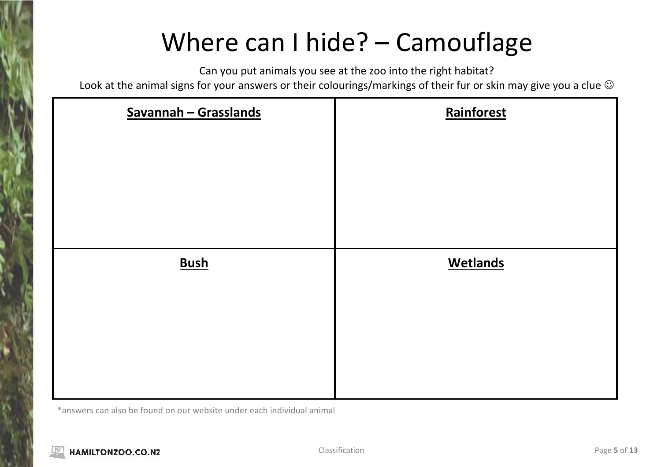## Where can I hide? – Camouflage

Can you put animals you see at the zoo into the right habitat?

Look at the animal signs for your answers or their colourings/markings of their fur or skin may give you a clue  $\odot$ 

| Savannah - Grasslands | Rainforest      |
|-----------------------|-----------------|
| <b>Bush</b>           | <b>Wetlands</b> |

\*answers can also be found on our website under each individual animal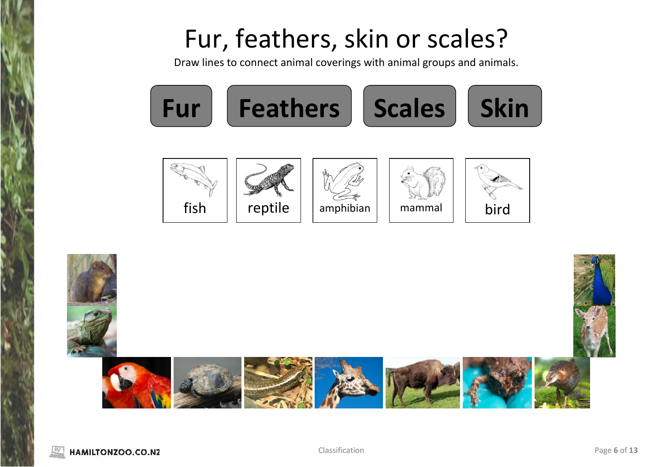## Fur, feathers, skin or scales?

Draw lines to connect animal coverings with animal groups and animals.



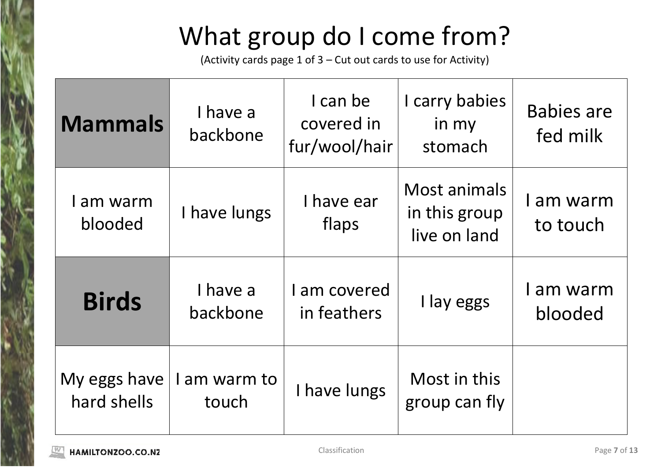# What group do I come from?

(Activity cards page 1 of 3 – Cut out cards to use for Activity)

| <b>Mammals</b>              | I have a<br>backbone | I can be<br>covered in<br>fur/wool/hair | I carry babies<br>in my<br>stomach            | <b>Babies are</b><br>fed milk |
|-----------------------------|----------------------|-----------------------------------------|-----------------------------------------------|-------------------------------|
| am warm<br>blooded          | I have lungs         | I have ear<br>flaps                     | Most animals<br>in this group<br>live on land | am warm<br>to touch           |
| <b>Birds</b>                | I have a<br>backbone | I am covered<br>in feathers             | I lay eggs                                    | I am warm<br>blooded          |
| My eggs have<br>hard shells | am warm to<br>touch  | I have lungs                            | Most in this<br>group can fly                 |                               |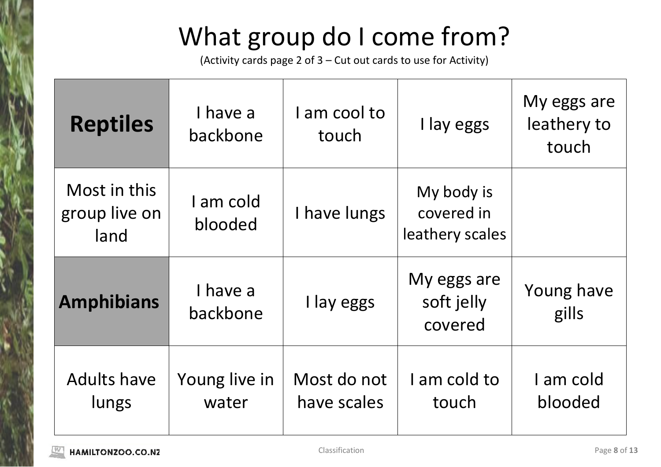# What group do I come from?

(Activity cards page 2 of 3 – Cut out cards to use for Activity)

| <b>Reptiles</b>                       | I have a<br>backbone   | I am cool to<br>touch      | I lay eggs                                  | My eggs are<br>leathery to<br>touch |
|---------------------------------------|------------------------|----------------------------|---------------------------------------------|-------------------------------------|
| Most in this<br>group live on<br>land | I am cold<br>blooded   | I have lungs               | My body is<br>covered in<br>leathery scales |                                     |
| <b>Amphibians</b>                     | I have a<br>backbone   | I lay eggs                 | My eggs are<br>soft jelly<br>covered        | Young have<br>gills                 |
| <b>Adults have</b><br>lungs           | Young live in<br>water | Most do not<br>have scales | I am cold to<br>touch                       | I am cold<br>blooded                |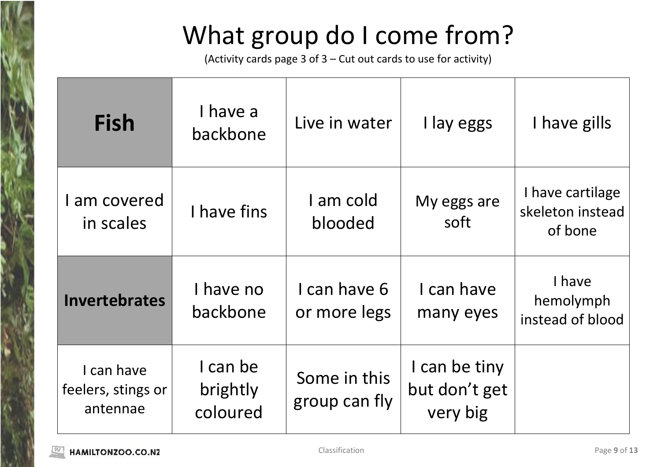# What group do I come from?

(Activity cards page 3 of 3 – Cut out cards to use for activity)

| <b>Fish</b>                                  | I have a<br>backbone             | Live in water                 | I lay eggs                                 | I have gills                                    |
|----------------------------------------------|----------------------------------|-------------------------------|--------------------------------------------|-------------------------------------------------|
| I am covered<br>in scales                    | I have fins                      | I am cold<br>blooded          | My eggs are<br>soft                        | I have cartilage<br>skeleton instead<br>of bone |
| <b>Invertebrates</b>                         | I have no<br>backbone            | I can have 6<br>or more legs  | I can have<br>many eyes                    | I have<br>hemolymph<br>instead of blood         |
| I can have<br>feelers, stings or<br>antennae | I can be<br>brightly<br>coloured | Some in this<br>group can fly | I can be tiny<br>but don't get<br>very big |                                                 |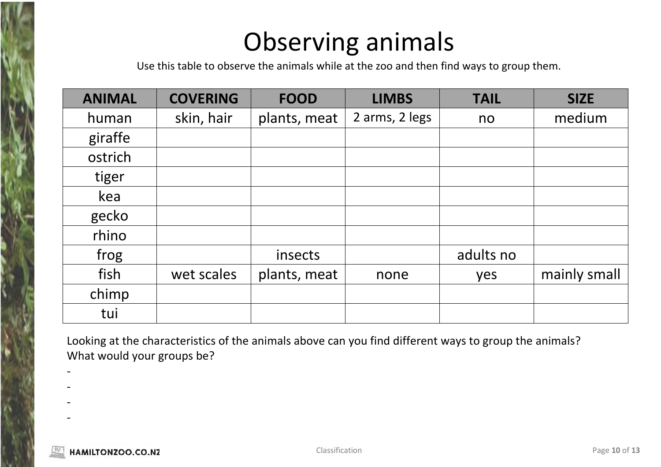## Observing animals

Use this table to observe the animals while at the zoo and then find ways to group them.

| <b>ANIMAL</b> | <b>COVERING</b> | <b>FOOD</b>  | <b>LIMBS</b>   | <b>TAIL</b> | <b>SIZE</b>  |
|---------------|-----------------|--------------|----------------|-------------|--------------|
| human         | skin, hair      | plants, meat | 2 arms, 2 legs | no          | medium       |
| giraffe       |                 |              |                |             |              |
| ostrich       |                 |              |                |             |              |
| tiger         |                 |              |                |             |              |
| kea           |                 |              |                |             |              |
| gecko         |                 |              |                |             |              |
| rhino         |                 |              |                |             |              |
| frog          |                 | insects      |                | adults no   |              |
| fish          | wet scales      | plants, meat | none           | yes         | mainly small |
| chimp         |                 |              |                |             |              |
| tui           |                 |              |                |             |              |

Looking at the characteristics of the animals above can you find different ways to group the animals? What would your groups be?

- -
- -
- -

-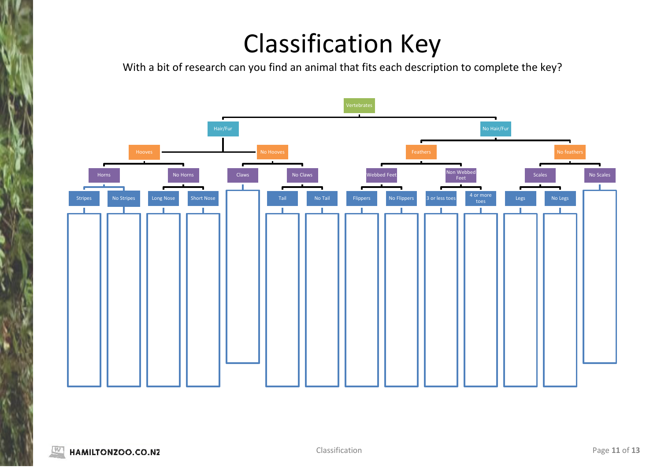## Classification Key

With a bit of research can you find an animal that fits each description to complete the key?

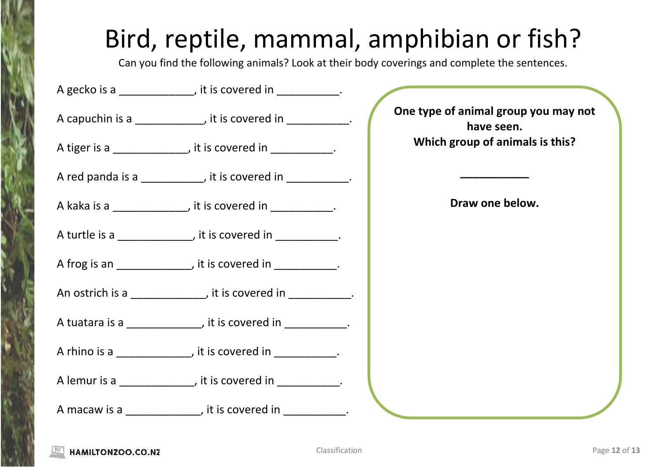## Bird, reptile, mammal, amphibian or fish?

Can you find the following animals? Look at their body coverings and complete the sentences.

| A gecko is a _______________, it is covered in ____________.                                                    |                                                    |
|-----------------------------------------------------------------------------------------------------------------|----------------------------------------------------|
| A capuchin is a ___________, it is covered in __________.                                                       | One type of animal group you may not<br>have seen. |
| A tiger is a _____________, it is covered in __________.                                                        | Which group of animals is this?                    |
| A red panda is a __________, it is covered in __________.                                                       |                                                    |
| A kaka is a ______________, it is covered in ___________.                                                       | Draw one below.                                    |
| A turtle is a _______________, it is covered in ____________.                                                   |                                                    |
| A frog is an ______________, it is covered in ___________.                                                      |                                                    |
| An ostrich is a ______________, it is covered in ___________.                                                   |                                                    |
| A tuatara is a ____________, it is covered in __________.                                                       |                                                    |
| A rhino is a _______________, it is covered in ___________.                                                     |                                                    |
| A lemur is a definition of the state of the state of the state of the state of the state of the state of the s  |                                                    |
| A macaw is a series and solution of the series of the series of the series of the series of the series of the s |                                                    |